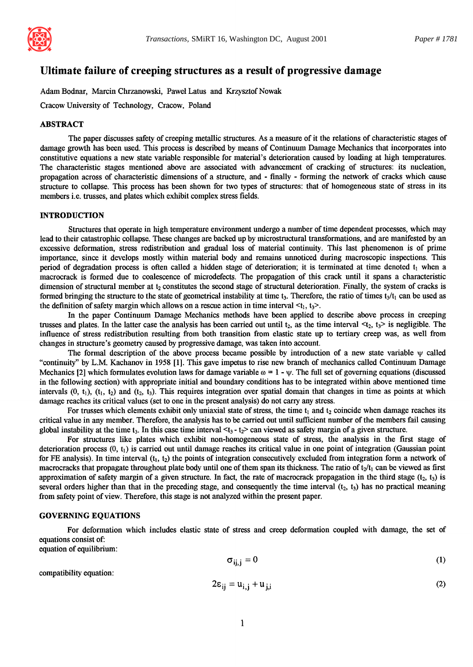

# **Ultimate failure of creeping structures as a result of progressive damage**

Adam Bodnar, Marcin Chrzanowski, Paweł Latus and Krzysztof Nowak

Cracow University of Technology, Cracow, Poland

#### ABSTRACT

The paper discusses safety of creeping metallic structures. As a measure of it the relations of characteristic stages of damage growth has been used. This process is described by means of Continuum Damage Mechanics that incorporates into constitutive equations a new state variable responsible for material's deterioration caused by loading at high temperatures. The characteristic stages mentioned above are associated with advancement of cracking of structures: its nucleation, propagation across of characteristic dimensions of a structure, and - finally - forming the network of cracks which cause structure to collapse. This process has been shown for two types of structures: that of homogeneous state of stress in its members i.e. trusses, and plates which exhibit complex stress fields.

# **INTRODUCTION**

Structures that operate in high temperature environment undergo a number of time dependent processes, which may lead to their catastrophic collapse. These changes are backed up by microstructural transformations, and are manifested by an excessive deformation, stress redistribution and gradual loss of material continuity. This last phenomenon is of prime importance, since it develops mostly within material body and remains unnoticed during macroscopic inspections. This period of degradation process is often called a hidden stage of deterioration; it is terminated at time denoted  $t_1$  when a macrocrack is formed due to coalescence of microdefects. The propagation of this crack until it spans a characteristic dimension of structural member at  $t_2$  constitutes the second stage of structural deterioration. Finally, the system of cracks is formed bringing the structure to the state of geometrical instability at time t<sub>3</sub>. Therefore, the ratio of times  $t_3/t_1$  can be used as the definition of safety margin which allows on a rescue action in time interval  $\langle t_1, t_2 \rangle$ .

In the paper Continuum Damage Mechanics methods have been applied to describe above process in creeping trusses and plates. In the latter case the analysis has been carried out until  $t_2$ , as the time interval  $\lt t_2$ ,  $t_3$  is negligible. The influence of stress redistribution resulting from both transition from elastic state up to tertiary creep was, as well from changes in structure's geometry caused by progressive damage, was taken into account.

The formal description of the above process became possible by introduction of a new state variable  $\psi$  called "continuity" by L.M. Kachanov in 1958 [1]. This gave impetus to rise new branch of mechanics called Continuum Damage Mechanics [2] which formulates evolution laws for damage variable  $\omega = 1 - \psi$ . The full set of governing equations (discussed in the following section) with appropriate initial and boundary conditions has to be integrated within above mentioned time intervals  $(0, t_1)$ ,  $(t_1, t_2)$  and  $(t_2, t_3)$ . This requires integration over spatial domain that changes in time as points at which damage reaches its critical values (set to one in the present analysis) do not carry any stress.

For trusses which elements exhibit only uniaxial state of stress, the time  $t_1$  and  $t_2$  coincide when damage reaches its critical value in any member. Therefore, the analysis has to be carried out until sufficient number of the members fail causing global instability at the time  $t_3$ . In this case time interval  $\lt t_3 - t_2$  can viewed as safety margin of a given structure.

For structures like plates which exhibit non-homogeneous state of stress, the analysis in the first stage of deterioration process (0, h) is carried out until damage reaches its critical value in one point of integration (Gaussian point for FE analysis). In time interval  $(t_1, t_2)$  the points of integration consecutively excluded from integration form a network of macrocracks that propagate throughout plate body until one of them span its thickness. The ratio of  $t_2/t_1$  can be viewed as first approximation of safety margin of a given structure. In fact, the rate of macrocrack propagation in the third stage  $(t_2, t_3)$  is several orders higher than that in the preceding stage, and consequently the time interval  $(t_2, t_3)$  has no practical meaning from safety point of view. Therefore, this stage is not analyzed within the present paper.

### GOVERNING EQUATIONS

For deformation which includes elastic state of stress and creep deformation coupled with damage, the set of equations consist of:

equation of equilibrium:

$$
\sigma_{ii,i} = 0 \tag{1}
$$

compatibility equation:

$$
2\epsilon_{ij} = u_{i,j} + u_{j,i} \tag{2}
$$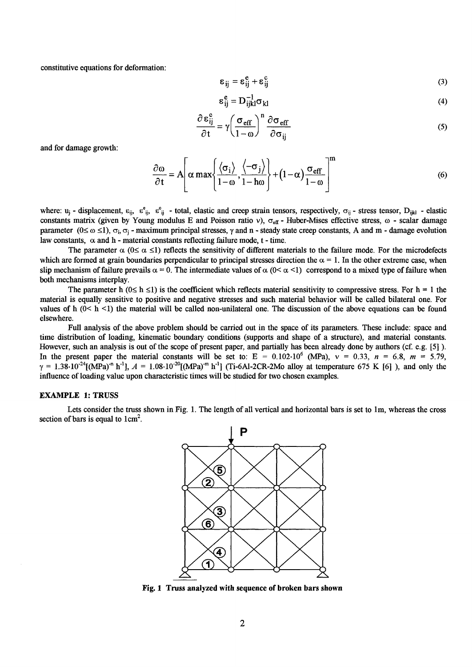constitutive equations for deformation:

$$
\varepsilon_{ij} = \varepsilon_{ij}^e + \varepsilon_{ij}^c \tag{3}
$$

$$
\varepsilon_{ij}^e = D_{ijkl}^{-1} \sigma_{kl} \tag{4}
$$

$$
\frac{\partial \varepsilon_{ij}^c}{\partial t} = \gamma \left( \frac{\sigma_{eff}}{1 - \omega} \right)^n \frac{\partial \sigma_{eff}}{\partial \sigma_{ij}}
$$
(5)

and for damage growth:

$$
\frac{\partial \omega}{\partial t} = A \left[ \alpha \max \left\{ \frac{\langle \sigma_i \rangle}{1 - \omega}, \frac{\langle -\sigma_j \rangle}{1 - h\omega} \right\} + (1 - \alpha) \frac{\sigma_{\text{eff}}}{1 - \omega} \right]^{\text{m}} \tag{6}
$$

where:  $u_i$  - displacement,  $\varepsilon_{ii}$ ,  $\varepsilon_{ii}^e$  - total, elastic and creep strain tensors, respectively,  $\sigma_{ii}$  - stress tensor,  $D_{ijkl}$  - elastic constants matrix (given by Young modulus E and Poisson ratio v),  $\sigma_{\text{eff}}$  - Huber-Mises effective stress,  $\omega$  - scalar damage parameter  $(0 \le \omega \le 1)$ ,  $\sigma_i$ ,  $\sigma_i$  - maximum principal stresses,  $\gamma$  and n - steady state creep constants, A and m - damage evolution law constants,  $\alpha$  and h - material constants reflecting failure mode, t - time.

The parameter  $\alpha$  ( $0 \le \alpha \le 1$ ) reflects the sensitivity of different materials to the failure mode. For the microdefects which are formed at grain boundaries perpendicular to principal stresses direction the  $\alpha = 1$ . In the other extreme case, when slip mechanism of failure prevails  $\alpha = 0$ . The intermediate values of  $\alpha$  (0<  $\alpha$  < 1) correspond to a mixed type of failure when both mechanisms interplay.

The parameter h ( $0 \le h \le 1$ ) is the coefficient which reflects material sensitivity to compressive stress. For  $h = 1$  the material is equally sensitive to positive and negative stresses and such material behavior will be called bilateral one. For values of h  $(0 < h < 1)$  the material will be called non-unilateral one. The discussion of the above equations can be found elsewhere.

Full analysis of the above problem should be carried out in the space of its parameters. These include: space and time distribution of loading, kinematic boundary conditions (supports and shape of a structure), and material constants. However, such an analysis is out of the scope of present paper, and partially has been already done by authors (cf. e.g. [5] ). In the present paper the material constants will be set to:  $E = 0.102 \cdot 10^6$  (MPa),  $v = 0.33$ ,  $n = 6.8$ ,  $m = 5.79$ ,  $\gamma = 1.38 \cdot 10^{-24}$ [(MPa)<sup>-n</sup> h<sup>-1</sup>],  $A = 1.08 \cdot 10^{-20}$ [(MPa)<sup>-m</sup> h<sup>-1</sup>] (Ti-6Al-2CR-2Mo alloy at temperature 675 K [6] ), and only the influence of loading value upon characteristic times will be studied for two chosen examples.

## EXAMPLE 1: TRUSS

Lets consider the truss shown in Fig. 1. The length of all vertical and horizontal bars is set to lm, whereas the cross section of bars is equal to  $1 \text{ cm}^2$ .



**Fig. 1 Truss analyzed with sequence of broken bars shown**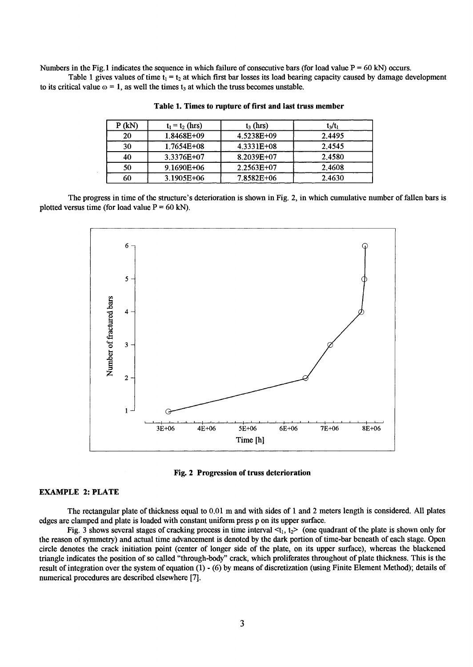Numbers in the Fig. 1 indicates the sequence in which failure of consecutive bars (for load value  $P = 60$  kN) occurs.

Table 1 gives values of time  $t_1 = t_2$  at which first bar losses its load bearing capacity caused by damage development to its critical value  $\omega = 1$ , as well the times  $t_3$  at which the truss becomes unstable.

| $P$ (kN) | $t_1 = t_2$ (hrs) | $t_3$ (hrs)    | $t_3/t_1$ |
|----------|-------------------|----------------|-----------|
| 20       | 1.8468E+09        | 4.5238E+09     | 2.4495    |
| 30       | $1.7654E + 08$    | $4.3331E+08$   | 2.4545    |
| 40       | 3.3376E+07        | 8.2039E+07     | 2.4580    |
| 50       | $9.1690E + 06$    | $2.2563E+07$   | 2.4608    |
| 60       | 3.1905E+06        | $7.8582E + 06$ | 2.4630    |

**Table 1. Times to rupture of first and last truss member** 

The progress in time of the structure's deterioration is shown in Fig. 2, in which cumulative number of fallen bars is plotted versus time (for load value  $P = 60$  kN).





## EXAMPLE 2: PLATE

The rectangular plate of thickness equal to 0.01 m and with sides of I and 2 meters length is considered. All plates edges are clamped and plate is loaded with constant uniform press p on its upper surface.

Fig. 3 shows several stages of cracking process in time interval  $lt_1$ ,  $t_2$  (one quadrant of the plate is shown only for the reason of symmetry) and actual time advancement is denoted by the dark portion of time-bar beneath of each stage. Open circle denotes the crack initiation point (center of longer side of the plate, on its upper surface), whereas the blackened triangle indicates the position of so called "through-body" crack, which proliferates throughout of plate thickness. This is the result of integration over the system of equation (1) - (6) by means of discretization (using Finite Element Method); details of numerical procedures are described elsewhere [7].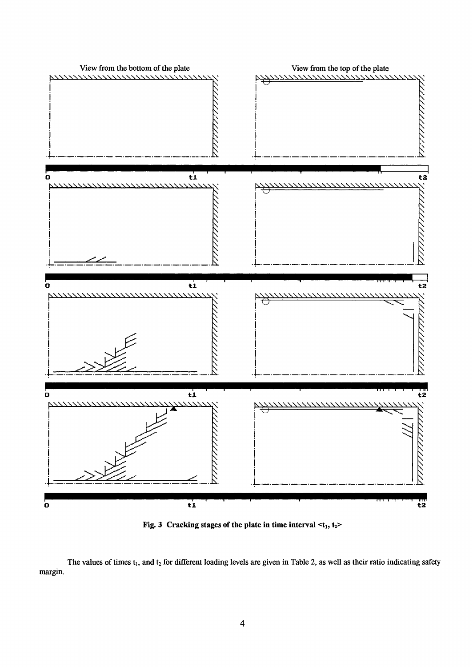

**Fig. 3** Cracking stages of the plate in time interval  $\lt t_1$ ,  $t_2$ 

**margin.**  The values of times t<sub>1</sub>, and t<sub>2</sub> for different loading levels are given in Table 2, as well as their ratio indicating safety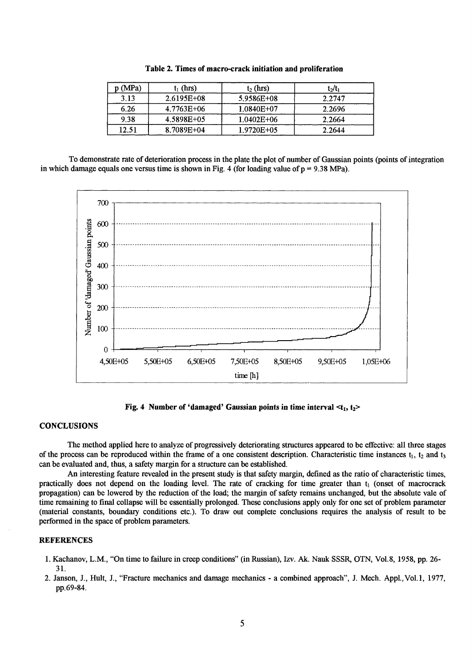| p(MPa) | $t_1$ (hrs)    | $t_2$ (hrs)    | $t_2/t_1$ |
|--------|----------------|----------------|-----------|
| 3.13   | $2.6195E + 08$ | 5.9586E+08     | 2.2747    |
| 6.26   | 4.7763E+06     | $1.0840E + 07$ | 2.2696    |
| 9.38   | 4.5898E+05     | $1.0402E + 06$ | 2.2664    |
| 12.51  | 8.7089E+04     | 1.9720E+05     | 2.2644    |

Table 2. Times of macro-crack initiation and proliferation

To demonstrate rate of deterioration process in the plate the plot of number of Gaussian points (points of integration in which damage equals one versus time is shown in Fig. 4 (for loading value of  $p = 9.38 \text{ MPa}$ ).



Fig. 4 Number of 'damaged' Gaussian points in time interval  $lt_1$ ,  $t_2$ 

### **CONCLUSIONS**

The method applied here to analyze of progressively deteriorating structures appeared to be effective: all three stages of the process can be reproduced within the frame of a one consistent description. Characteristic time instances  $t_1$ ,  $t_2$  and  $t_3$ can be evaluated and, thus, a safety margin for a structure can be established.

An interesting feature revealed in the present study is that safety margin, defined as the ratio of characteristic times, practically does not depend on the loading level. The rate of cracking for time greater than t<sub>1</sub> (onset of macrocrack propagation) can be lowered by the reduction of the load; the margin of safety remains unchanged, but the absolute vale of time remaining to final collapse will be essentially prolonged. These conclusions apply only for one set of problem parameter (material constants, boundary conditions etc.). To draw out complete conclusions requires the analysis of result to be performed in the space of problem parameters.

# **REFERENCES**

- 1. Kachanov, L.M., "On time to failure in creep conditions" (in Russian), Izv. Ak. Nauk SSSR, OTN, Vol.8, 1958, pp. 26-31.
- 2. Janson, J., Hult, J., "Fracture mechanics and damage mechanics a combined approach", J. Mech. Appl., Vol.1, 1977, pp.69-84.